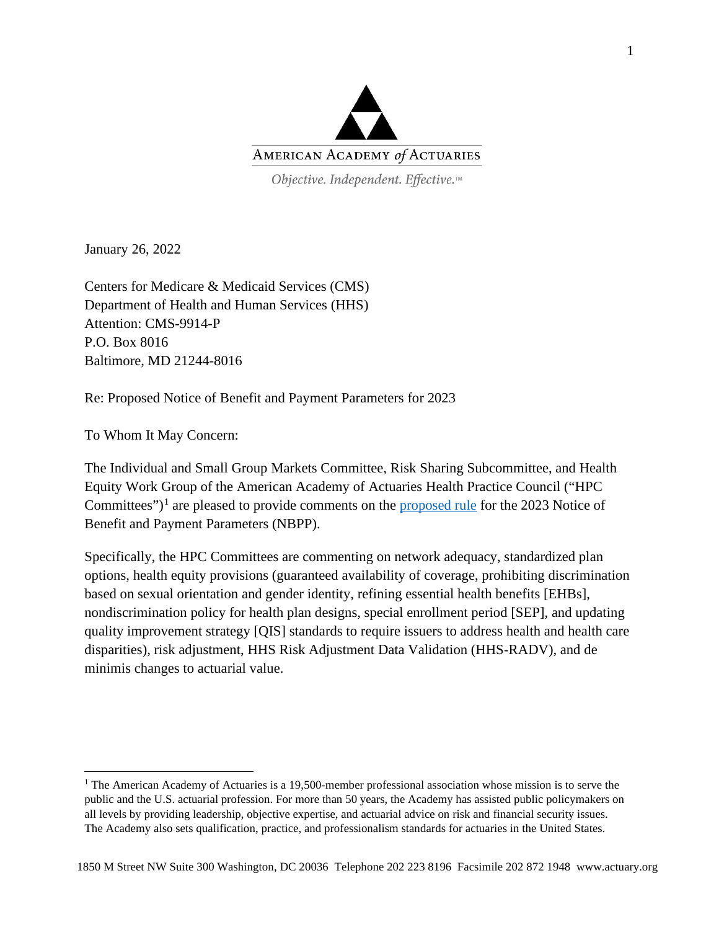

Objective. Independent. Effective.™

January 26, 2022

Centers for Medicare & Medicaid Services (CMS) Department of Health and Human Services (HHS) Attention: CMS-9914-P P.O. Box 8016 Baltimore, MD 21244-8016

Re: Proposed Notice of Benefit and Payment Parameters for 2023

To Whom It May Concern:

The Individual and Small Group Markets Committee, Risk Sharing Subcommittee, and Health Equity Work Group of the American Academy of Actuaries Health Practice Council ("HPC Committees")<sup>[1](#page-0-0)</sup> are pleased to provide comments on the **proposed rule** for the 2023 Notice of Benefit and Payment Parameters (NBPP).

Specifically, the HPC Committees are commenting on network adequacy, standardized plan options, health equity provisions (guaranteed availability of coverage, prohibiting discrimination based on sexual orientation and gender identity, refining essential health benefits [EHBs], nondiscrimination policy for health plan designs, special enrollment period [SEP], and updating quality improvement strategy [QIS] standards to require issuers to address health and health care disparities), risk adjustment, HHS Risk Adjustment Data Validation (HHS-RADV), and de minimis changes to actuarial value.

<span id="page-0-0"></span><sup>&</sup>lt;sup>1</sup> The American Academy of Actuaries is a 19,500-member professional association whose mission is to serve the public and the U.S. actuarial profession. For more than 50 years, the Academy has assisted public policymakers on all levels by providing leadership, objective expertise, and actuarial advice on risk and financial security issues. The Academy also sets qualification, practice, and professionalism standards for actuaries in the United States.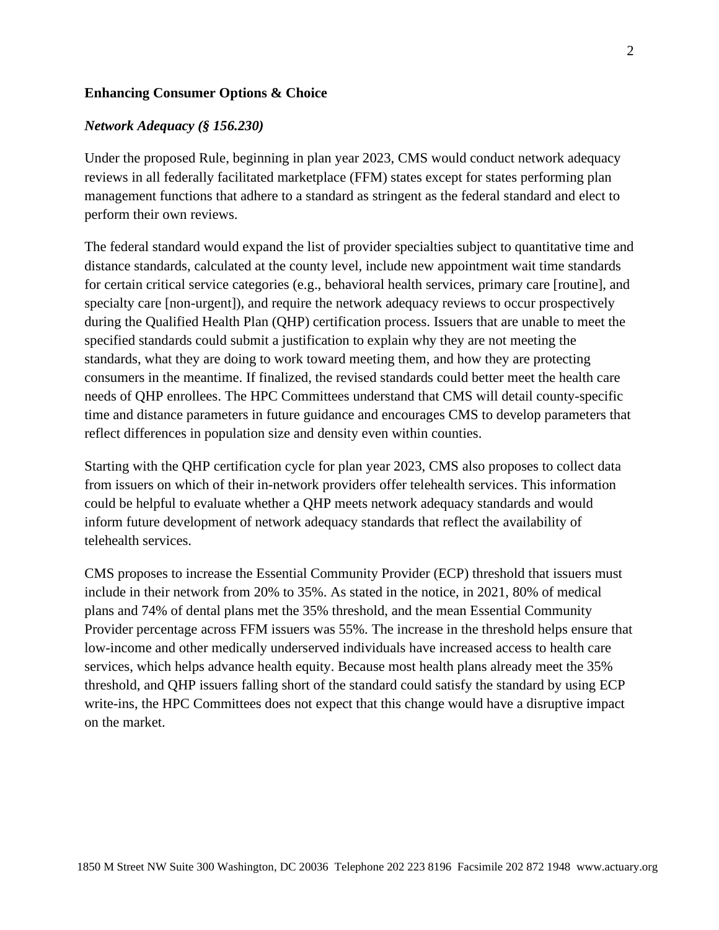## **Enhancing Consumer Options & Choice**

#### *Network Adequacy (§ 156.230)*

Under the proposed Rule, beginning in plan year 2023, CMS would conduct network adequacy reviews in all federally facilitated marketplace (FFM) states except for states performing plan management functions that adhere to a standard as stringent as the federal standard and elect to perform their own reviews.

The federal standard would expand the list of provider specialties subject to quantitative time and distance standards, calculated at the county level, include new appointment wait time standards for certain critical service categories (e.g., behavioral health services, primary care [routine], and specialty care [non-urgent]), and require the network adequacy reviews to occur prospectively during the Qualified Health Plan (QHP) certification process. Issuers that are unable to meet the specified standards could submit a justification to explain why they are not meeting the standards, what they are doing to work toward meeting them, and how they are protecting consumers in the meantime. If finalized, the revised standards could better meet the health care needs of QHP enrollees. The HPC Committees understand that CMS will detail county-specific time and distance parameters in future guidance and encourages CMS to develop parameters that reflect differences in population size and density even within counties.

Starting with the QHP certification cycle for plan year 2023, CMS also proposes to collect data from issuers on which of their in-network providers offer telehealth services. This information could be helpful to evaluate whether a QHP meets network adequacy standards and would inform future development of network adequacy standards that reflect the availability of telehealth services.

CMS proposes to increase the Essential Community Provider (ECP) threshold that issuers must include in their network from 20% to 35%. As stated in the notice, in 2021, 80% of medical plans and 74% of dental plans met the 35% threshold, and the mean Essential Community Provider percentage across FFM issuers was 55%. The increase in the threshold helps ensure that low-income and other medically underserved individuals have increased access to health care services, which helps advance health equity. Because most health plans already meet the 35% threshold, and QHP issuers falling short of the standard could satisfy the standard by using ECP write-ins, the HPC Committees does not expect that this change would have a disruptive impact on the market.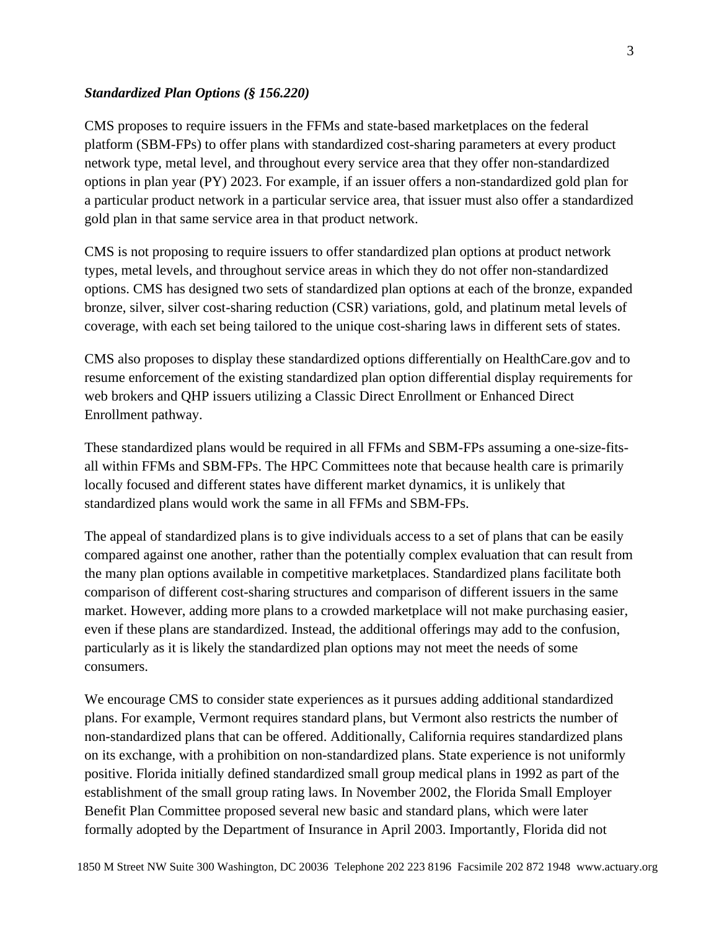## *Standardized Plan Options (§ 156.220)*

CMS proposes to require issuers in the FFMs and state-based marketplaces on the federal platform (SBM-FPs) to offer plans with standardized cost-sharing parameters at every product network type, metal level, and throughout every service area that they offer non-standardized options in plan year (PY) 2023. For example, if an issuer offers a non-standardized gold plan for a particular product network in a particular service area, that issuer must also offer a standardized gold plan in that same service area in that product network.

CMS is not proposing to require issuers to offer standardized plan options at product network types, metal levels, and throughout service areas in which they do not offer non-standardized options. CMS has designed two sets of standardized plan options at each of the bronze, expanded bronze, silver, silver cost-sharing reduction (CSR) variations, gold, and platinum metal levels of coverage, with each set being tailored to the unique cost-sharing laws in different sets of states.

CMS also proposes to display these standardized options differentially on HealthCare.gov and to resume enforcement of the existing standardized plan option differential display requirements for web brokers and QHP issuers utilizing a Classic Direct Enrollment or Enhanced Direct Enrollment pathway.

These standardized plans would be required in all FFMs and SBM-FPs assuming a one-size-fitsall within FFMs and SBM-FPs. The HPC Committees note that because health care is primarily locally focused and different states have different market dynamics, it is unlikely that standardized plans would work the same in all FFMs and SBM-FPs.

The appeal of standardized plans is to give individuals access to a set of plans that can be easily compared against one another, rather than the potentially complex evaluation that can result from the many plan options available in competitive marketplaces. Standardized plans facilitate both comparison of different cost-sharing structures and comparison of different issuers in the same market. However, adding more plans to a crowded marketplace will not make purchasing easier, even if these plans are standardized. Instead, the additional offerings may add to the confusion, particularly as it is likely the standardized plan options may not meet the needs of some consumers.

We encourage CMS to consider state experiences as it pursues adding additional standardized plans. For example, Vermont requires standard plans, but Vermont also restricts the number of non-standardized plans that can be offered. Additionally, California requires standardized plans on its exchange, with a prohibition on non-standardized plans. State experience is not uniformly positive. Florida initially defined standardized small group medical plans in 1992 as part of the establishment of the small group rating laws. In November 2002, the Florida Small Employer Benefit Plan Committee proposed several new basic and standard plans, which were later formally adopted by the Department of Insurance in April 2003. Importantly, Florida did not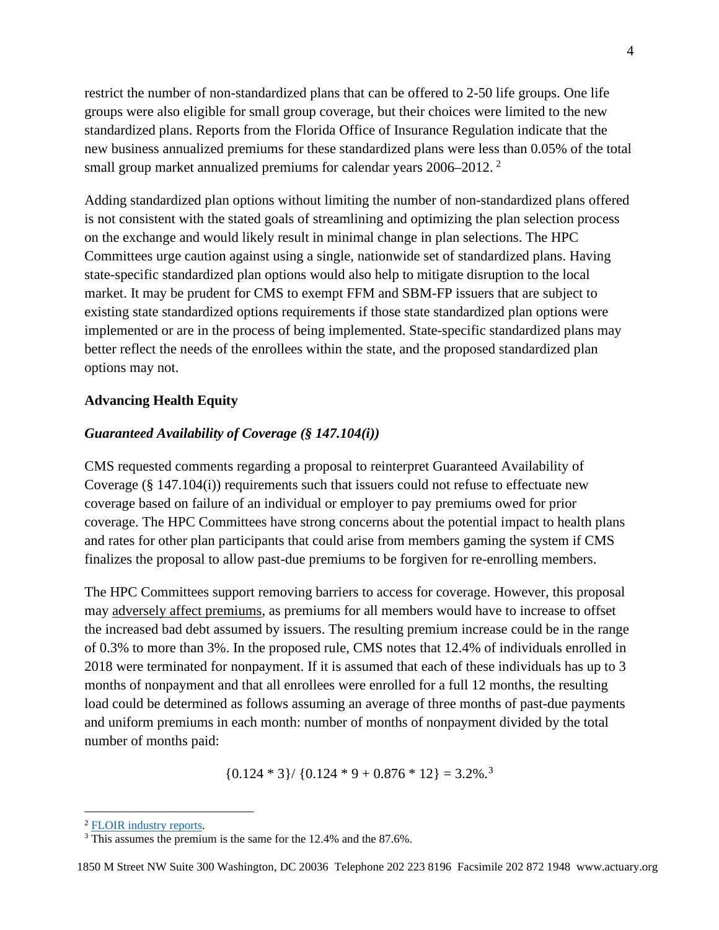restrict the number of non-standardized plans that can be offered to 2-50 life groups. One life groups were also eligible for small group coverage, but their choices were limited to the new standardized plans. Reports from the Florida Office of Insurance Regulation indicate that the new business annualized premiums for these standardized plans were less than 0.05% of the total small group market annualized premiums for calendar years [2](#page-3-0)006–2012.<sup>2</sup>

Adding standardized plan options without limiting the number of non-standardized plans offered is not consistent with the stated goals of streamlining and optimizing the plan selection process on the exchange and would likely result in minimal change in plan selections. The HPC Committees urge caution against using a single, nationwide set of standardized plans. Having state-specific standardized plan options would also help to mitigate disruption to the local market. It may be prudent for CMS to exempt FFM and SBM-FP issuers that are subject to existing state standardized options requirements if those state standardized plan options were implemented or are in the process of being implemented. State-specific standardized plans may better reflect the needs of the enrollees within the state, and the proposed standardized plan options may not.

## **Advancing Health Equity**

## *Guaranteed Availability of Coverage (§ 147.104(i))*

CMS requested comments regarding a proposal to reinterpret Guaranteed Availability of Coverage  $(\S 147.104(i))$  requirements such that issuers could not refuse to effectuate new coverage based on failure of an individual or employer to pay premiums owed for prior coverage. The HPC Committees have strong concerns about the potential impact to health plans and rates for other plan participants that could arise from members gaming the system if CMS finalizes the proposal to allow past-due premiums to be forgiven for re-enrolling members.

The HPC Committees support removing barriers to access for coverage. However, this proposal may adversely affect premiums, as premiums for all members would have to increase to offset the increased bad debt assumed by issuers. The resulting premium increase could be in the range of 0.3% to more than 3%. In the proposed rule, CMS notes that 12.4% of individuals enrolled in 2018 were terminated for nonpayment. If it is assumed that each of these individuals has up to 3 months of nonpayment and that all enrollees were enrolled for a full 12 months, the resulting load could be determined as follows assuming an average of three months of past-due payments and uniform premiums in each month: number of months of nonpayment divided by the total number of months paid:

 ${0.124 * 3}/ {0.124 * 9 + 0.876 * 12} = 3.2\%$  ${0.124 * 3}/ {0.124 * 9 + 0.876 * 12} = 3.2\%$  ${0.124 * 3}/ {0.124 * 9 + 0.876 * 12} = 3.2\%$ .<sup>3</sup>

<sup>2</sup> FLOIR [industry reports.](https://floir.com/resources-and-reports/industry-reports)

<span id="page-3-1"></span><span id="page-3-0"></span><sup>&</sup>lt;sup>3</sup> This assumes the premium is the same for the 12.4% and the 87.6%.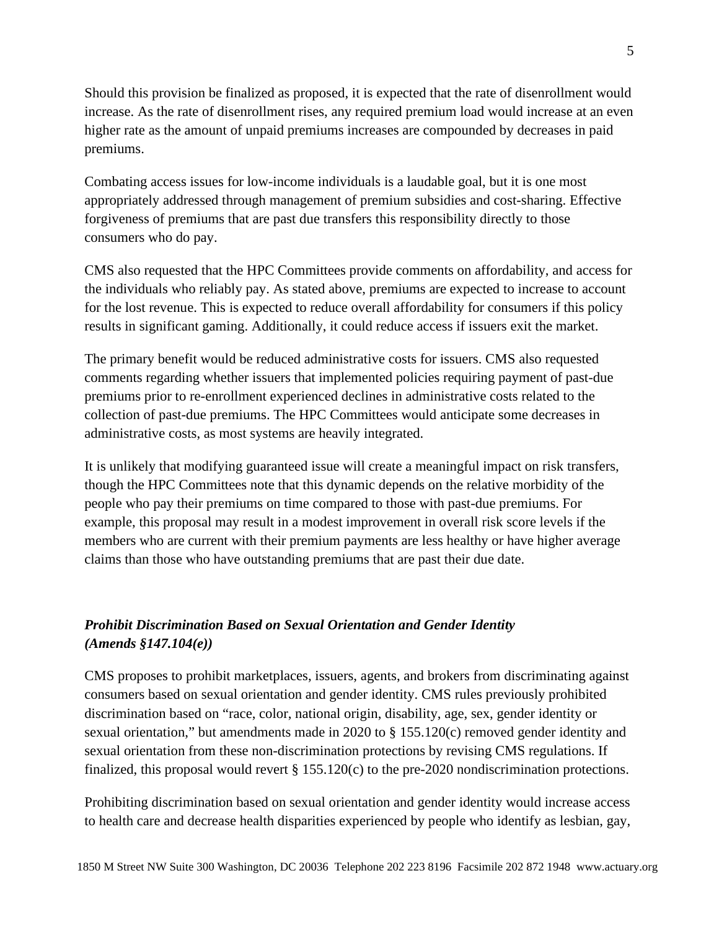Should this provision be finalized as proposed, it is expected that the rate of disenrollment would increase. As the rate of disenrollment rises, any required premium load would increase at an even higher rate as the amount of unpaid premiums increases are compounded by decreases in paid premiums.

Combating access issues for low-income individuals is a laudable goal, but it is one most appropriately addressed through management of premium subsidies and cost-sharing. Effective forgiveness of premiums that are past due transfers this responsibility directly to those consumers who do pay.

CMS also requested that the HPC Committees provide comments on affordability, and access for the individuals who reliably pay. As stated above, premiums are expected to increase to account for the lost revenue. This is expected to reduce overall affordability for consumers if this policy results in significant gaming. Additionally, it could reduce access if issuers exit the market.

The primary benefit would be reduced administrative costs for issuers. CMS also requested comments regarding whether issuers that implemented policies requiring payment of past-due premiums prior to re-enrollment experienced declines in administrative costs related to the collection of past-due premiums. The HPC Committees would anticipate some decreases in administrative costs, as most systems are heavily integrated.

It is unlikely that modifying guaranteed issue will create a meaningful impact on risk transfers, though the HPC Committees note that this dynamic depends on the relative morbidity of the people who pay their premiums on time compared to those with past-due premiums. For example, this proposal may result in a modest improvement in overall risk score levels if the members who are current with their premium payments are less healthy or have higher average claims than those who have outstanding premiums that are past their due date.

# *Prohibit Discrimination Based on Sexual Orientation and Gender Identity (Amends §147.104(e))*

CMS proposes to prohibit marketplaces, issuers, agents, and brokers from discriminating against consumers based on sexual orientation and gender identity. CMS rules previously prohibited discrimination based on "race, color, national origin, disability, age, sex, gender identity or sexual orientation," but amendments made in 2020 to § 155.120(c) removed gender identity and sexual orientation from these non-discrimination protections by revising CMS regulations. If finalized, this proposal would revert § 155.120(c) to the pre-2020 nondiscrimination protections.

Prohibiting discrimination based on sexual orientation and gender identity would increase access to health care and decrease health disparities experienced by people who identify as lesbian, gay,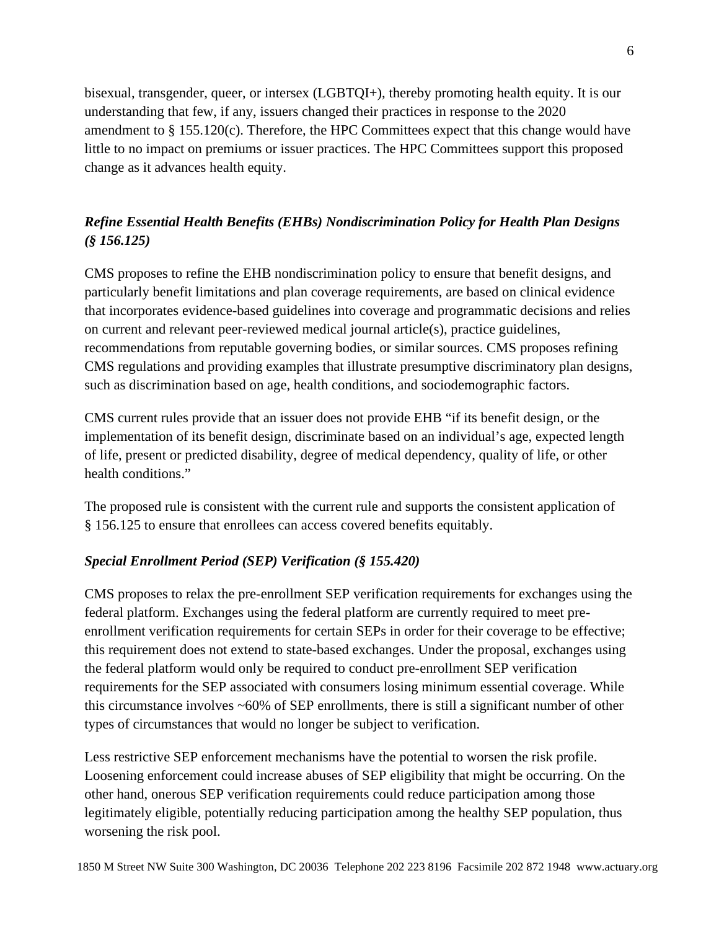bisexual, transgender, queer, or intersex (LGBTQI+), thereby promoting health equity. It is our understanding that few, if any, issuers changed their practices in response to the 2020 amendment to  $\S 155.120(c)$ . Therefore, the HPC Committees expect that this change would have little to no impact on premiums or issuer practices. The HPC Committees support this proposed change as it advances health equity.

# *Refine Essential Health Benefits (EHBs) Nondiscrimination Policy for Health Plan Designs (§ 156.125)*

CMS proposes to refine the EHB nondiscrimination policy to ensure that benefit designs, and particularly benefit limitations and plan coverage requirements, are based on clinical evidence that incorporates evidence-based guidelines into coverage and programmatic decisions and relies on current and relevant peer-reviewed medical journal article(s), practice guidelines, recommendations from reputable governing bodies, or similar sources. CMS proposes refining CMS regulations and providing examples that illustrate presumptive discriminatory plan designs, such as discrimination based on age, health conditions, and sociodemographic factors.

CMS current rules provide that an issuer does not provide EHB "if its benefit design, or the implementation of its benefit design, discriminate based on an individual's age, expected length of life, present or predicted disability, degree of medical dependency, quality of life, or other health conditions."

The proposed rule is consistent with the current rule and supports the consistent application of § 156.125 to ensure that enrollees can access covered benefits equitably.

## *Special Enrollment Period (SEP) Verification (§ 155.420)*

CMS proposes to relax the pre-enrollment SEP verification requirements for exchanges using the federal platform. Exchanges using the federal platform are currently required to meet preenrollment verification requirements for certain SEPs in order for their coverage to be effective; this requirement does not extend to state-based exchanges. Under the proposal, exchanges using the federal platform would only be required to conduct pre-enrollment SEP verification requirements for the SEP associated with consumers losing minimum essential coverage. While this circumstance involves ~60% of SEP enrollments, there is still a significant number of other types of circumstances that would no longer be subject to verification.

Less restrictive SEP enforcement mechanisms have the potential to worsen the risk profile. Loosening enforcement could increase abuses of SEP eligibility that might be occurring. On the other hand, onerous SEP verification requirements could reduce participation among those legitimately eligible, potentially reducing participation among the healthy SEP population, thus worsening the risk pool.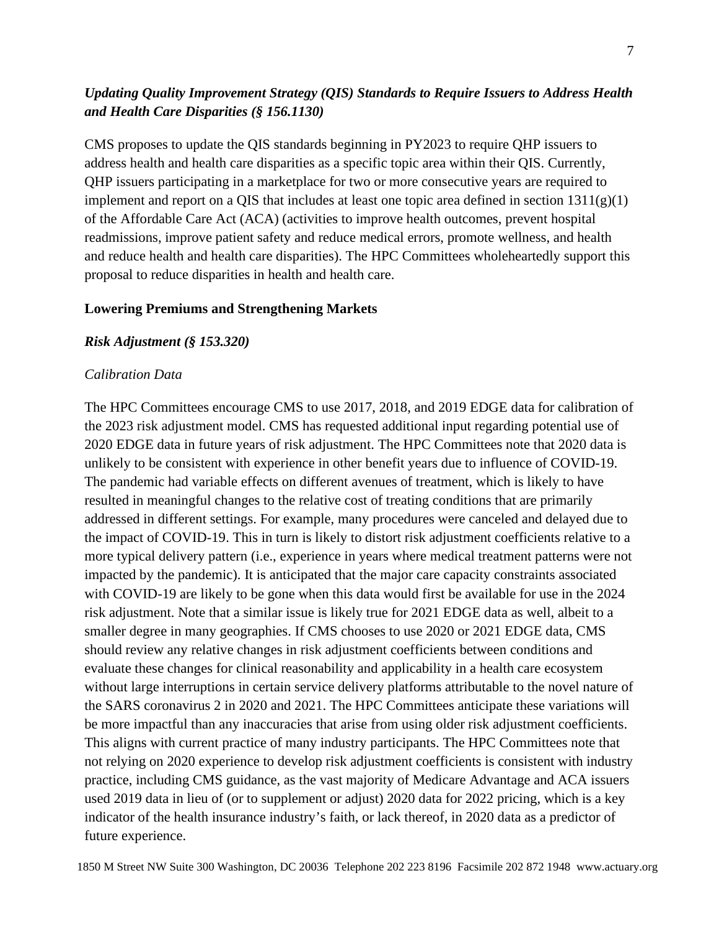## *Updating Quality Improvement Strategy (QIS) Standards to Require Issuers to Address Health and Health Care Disparities (§ 156.1130)*

CMS proposes to update the QIS standards beginning in PY2023 to require QHP issuers to address health and health care disparities as a specific topic area within their QIS. Currently, QHP issuers participating in a marketplace for two or more consecutive years are required to implement and report on a QIS that includes at least one topic area defined in section  $1311(g)(1)$ of the Affordable Care Act (ACA) (activities to improve health outcomes, prevent hospital readmissions, improve patient safety and reduce medical errors, promote wellness, and health and reduce health and health care disparities). The HPC Committees wholeheartedly support this proposal to reduce disparities in health and health care.

## **Lowering Premiums and Strengthening Markets**

## *Risk Adjustment (§ 153.320)*

## *Calibration Data*

The HPC Committees encourage CMS to use 2017, 2018, and 2019 EDGE data for calibration of the 2023 risk adjustment model. CMS has requested additional input regarding potential use of 2020 EDGE data in future years of risk adjustment. The HPC Committees note that 2020 data is unlikely to be consistent with experience in other benefit years due to influence of COVID-19. The pandemic had variable effects on different avenues of treatment, which is likely to have resulted in meaningful changes to the relative cost of treating conditions that are primarily addressed in different settings. For example, many procedures were canceled and delayed due to the impact of COVID-19. This in turn is likely to distort risk adjustment coefficients relative to a more typical delivery pattern (i.e., experience in years where medical treatment patterns were not impacted by the pandemic). It is anticipated that the major care capacity constraints associated with COVID-19 are likely to be gone when this data would first be available for use in the 2024 risk adjustment. Note that a similar issue is likely true for 2021 EDGE data as well, albeit to a smaller degree in many geographies. If CMS chooses to use 2020 or 2021 EDGE data, CMS should review any relative changes in risk adjustment coefficients between conditions and evaluate these changes for clinical reasonability and applicability in a health care ecosystem without large interruptions in certain service delivery platforms attributable to the novel nature of the SARS coronavirus 2 in 2020 and 2021. The HPC Committees anticipate these variations will be more impactful than any inaccuracies that arise from using older risk adjustment coefficients. This aligns with current practice of many industry participants. The HPC Committees note that not relying on 2020 experience to develop risk adjustment coefficients is consistent with industry practice, including CMS guidance, as the vast majority of Medicare Advantage and ACA issuers used 2019 data in lieu of (or to supplement or adjust) 2020 data for 2022 pricing, which is a key indicator of the health insurance industry's faith, or lack thereof, in 2020 data as a predictor of future experience.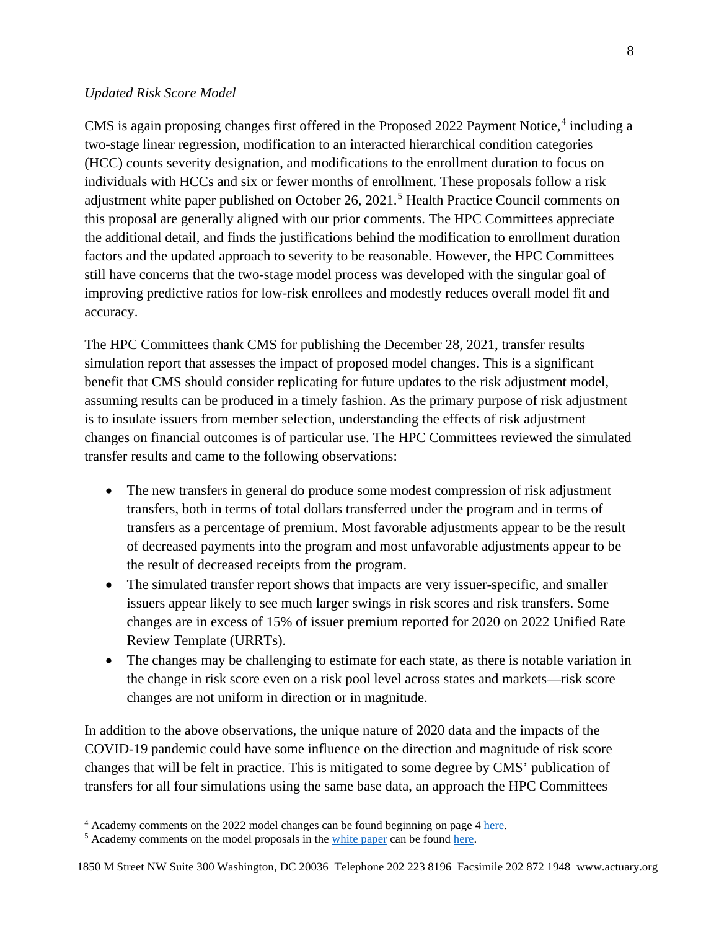### *Updated Risk Score Model*

CMS is again proposing changes first offered in the Proposed 2022 Payment Notice, [4](#page-7-0) including a two-stage linear regression, modification to an interacted hierarchical condition categories (HCC) counts severity designation, and modifications to the enrollment duration to focus on individuals with HCCs and six or fewer months of enrollment. These proposals follow a risk adjustment white paper published on October 26, 2021.<sup>[5](#page-7-1)</sup> Health Practice Council comments on this proposal are generally aligned with our prior comments. The HPC Committees appreciate the additional detail, and finds the justifications behind the modification to enrollment duration factors and the updated approach to severity to be reasonable. However, the HPC Committees still have concerns that the two-stage model process was developed with the singular goal of improving predictive ratios for low-risk enrollees and modestly reduces overall model fit and accuracy.

The HPC Committees thank CMS for publishing the December 28, 2021, transfer results simulation report that assesses the impact of proposed model changes. This is a significant benefit that CMS should consider replicating for future updates to the risk adjustment model, assuming results can be produced in a timely fashion. As the primary purpose of risk adjustment is to insulate issuers from member selection, understanding the effects of risk adjustment changes on financial outcomes is of particular use. The HPC Committees reviewed the simulated transfer results and came to the following observations:

- The new transfers in general do produce some modest compression of risk adjustment transfers, both in terms of total dollars transferred under the program and in terms of transfers as a percentage of premium. Most favorable adjustments appear to be the result of decreased payments into the program and most unfavorable adjustments appear to be the result of decreased receipts from the program.
- The simulated transfer report shows that impacts are very issuer-specific, and smaller issuers appear likely to see much larger swings in risk scores and risk transfers. Some changes are in excess of 15% of issuer premium reported for 2020 on 2022 Unified Rate Review Template (URRTs).
- The changes may be challenging to estimate for each state, as there is notable variation in the change in risk score even on a risk pool level across states and markets—risk score changes are not uniform in direction or in magnitude.

In addition to the above observations, the unique nature of 2020 data and the impacts of the COVID-19 pandemic could have some influence on the direction and magnitude of risk score changes that will be felt in practice. This is mitigated to some degree by CMS' publication of transfers for all four simulations using the same base data, an approach the HPC Committees

<span id="page-7-0"></span> $4$  Academy comments on the 2022 model changes can be found beginning on page  $4$  [here.](https://www.actuary.org/sites/default/files/2021-11/Academy_Comment_Letter_CCIIO_RA_Technical_Paper_11.24.21.pdf)<br><sup>5</sup> Academy comments on the model proposals in the white paper can be found here.

<span id="page-7-1"></span>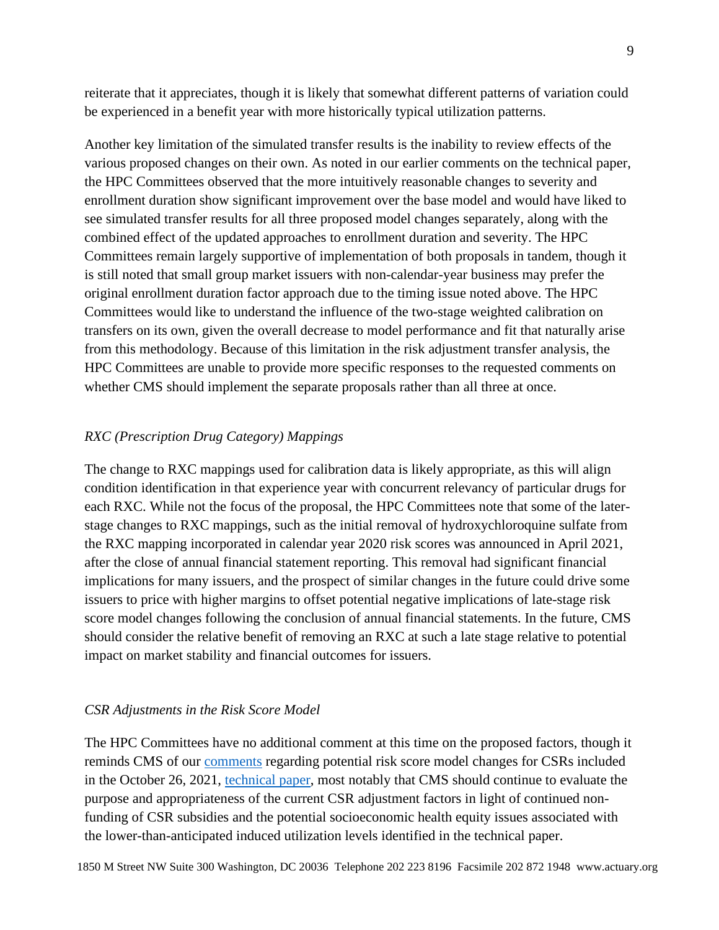reiterate that it appreciates, though it is likely that somewhat different patterns of variation could be experienced in a benefit year with more historically typical utilization patterns.

Another key limitation of the simulated transfer results is the inability to review effects of the various proposed changes on their own. As noted in our earlier comments on the technical paper, the HPC Committees observed that the more intuitively reasonable changes to severity and enrollment duration show significant improvement over the base model and would have liked to see simulated transfer results for all three proposed model changes separately, along with the combined effect of the updated approaches to enrollment duration and severity. The HPC Committees remain largely supportive of implementation of both proposals in tandem, though it is still noted that small group market issuers with non-calendar-year business may prefer the original enrollment duration factor approach due to the timing issue noted above. The HPC Committees would like to understand the influence of the two-stage weighted calibration on transfers on its own, given the overall decrease to model performance and fit that naturally arise from this methodology. Because of this limitation in the risk adjustment transfer analysis, the HPC Committees are unable to provide more specific responses to the requested comments on whether CMS should implement the separate proposals rather than all three at once.

### *RXC (Prescription Drug Category) Mappings*

The change to RXC mappings used for calibration data is likely appropriate, as this will align condition identification in that experience year with concurrent relevancy of particular drugs for each RXC. While not the focus of the proposal, the HPC Committees note that some of the laterstage changes to RXC mappings, such as the initial removal of hydroxychloroquine sulfate from the RXC mapping incorporated in calendar year 2020 risk scores was announced in April 2021, after the close of annual financial statement reporting. This removal had significant financial implications for many issuers, and the prospect of similar changes in the future could drive some issuers to price with higher margins to offset potential negative implications of late-stage risk score model changes following the conclusion of annual financial statements. In the future, CMS should consider the relative benefit of removing an RXC at such a late stage relative to potential impact on market stability and financial outcomes for issuers.

#### *CSR Adjustments in the Risk Score Model*

The HPC Committees have no additional comment at this time on the proposed factors, though it reminds CMS of our [comments](https://www.actuary.org/sites/default/files/2021-11/Academy_Comment_Letter_CCIIO_RA_Technical_Paper_11.24.21.pdf) regarding potential risk score model changes for CSRs included in the October 26, 2021, [technical paper,](https://www.cms.gov/files/document/2021-ra-technical-paper.pdf) most notably that CMS should continue to evaluate the purpose and appropriateness of the current CSR adjustment factors in light of continued nonfunding of CSR subsidies and the potential socioeconomic health equity issues associated with the lower-than-anticipated induced utilization levels identified in the technical paper.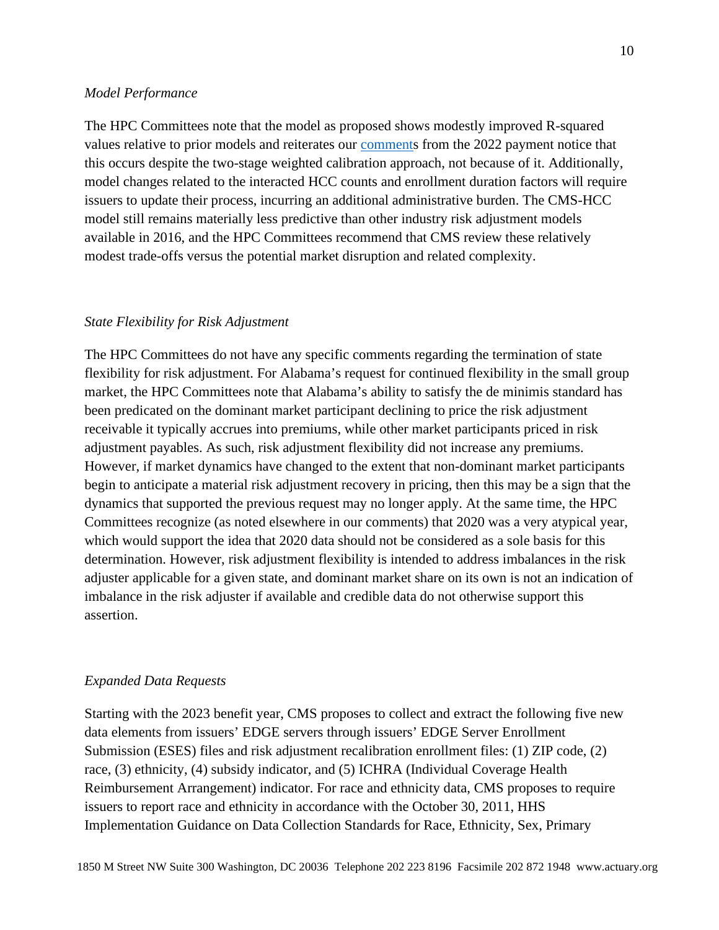#### *Model Performance*

The HPC Committees note that the model as proposed shows modestly improved R-squared values relative to prior models and reiterates our [comments](https://www.actuary.org/sites/default/files/2020-12/American_Academy_of_Actuaries_NBPP_2022_Comments.pdf) from the 2022 payment notice that this occurs despite the two-stage weighted calibration approach, not because of it. Additionally, model changes related to the interacted HCC counts and enrollment duration factors will require issuers to update their process, incurring an additional administrative burden. The CMS-HCC model still remains materially less predictive than other industry risk adjustment models available in 2016, and the HPC Committees recommend that CMS review these relatively modest trade-offs versus the potential market disruption and related complexity.

#### *State Flexibility for Risk Adjustment*

The HPC Committees do not have any specific comments regarding the termination of state flexibility for risk adjustment. For Alabama's request for continued flexibility in the small group market, the HPC Committees note that Alabama's ability to satisfy the de minimis standard has been predicated on the dominant market participant declining to price the risk adjustment receivable it typically accrues into premiums, while other market participants priced in risk adjustment payables. As such, risk adjustment flexibility did not increase any premiums. However, if market dynamics have changed to the extent that non-dominant market participants begin to anticipate a material risk adjustment recovery in pricing, then this may be a sign that the dynamics that supported the previous request may no longer apply. At the same time, the HPC Committees recognize (as noted elsewhere in our comments) that 2020 was a very atypical year, which would support the idea that 2020 data should not be considered as a sole basis for this determination. However, risk adjustment flexibility is intended to address imbalances in the risk adjuster applicable for a given state, and dominant market share on its own is not an indication of imbalance in the risk adjuster if available and credible data do not otherwise support this assertion.

#### *Expanded Data Requests*

Starting with the 2023 benefit year, CMS proposes to collect and extract the following five new data elements from issuers' EDGE servers through issuers' EDGE Server Enrollment Submission (ESES) files and risk adjustment recalibration enrollment files: (1) ZIP code, (2) race, (3) ethnicity, (4) subsidy indicator, and (5) ICHRA (Individual Coverage Health Reimbursement Arrangement) indicator. For race and ethnicity data, CMS proposes to require issuers to report race and ethnicity in accordance with the October 30, 2011, HHS Implementation Guidance on Data Collection Standards for Race, Ethnicity, Sex, Primary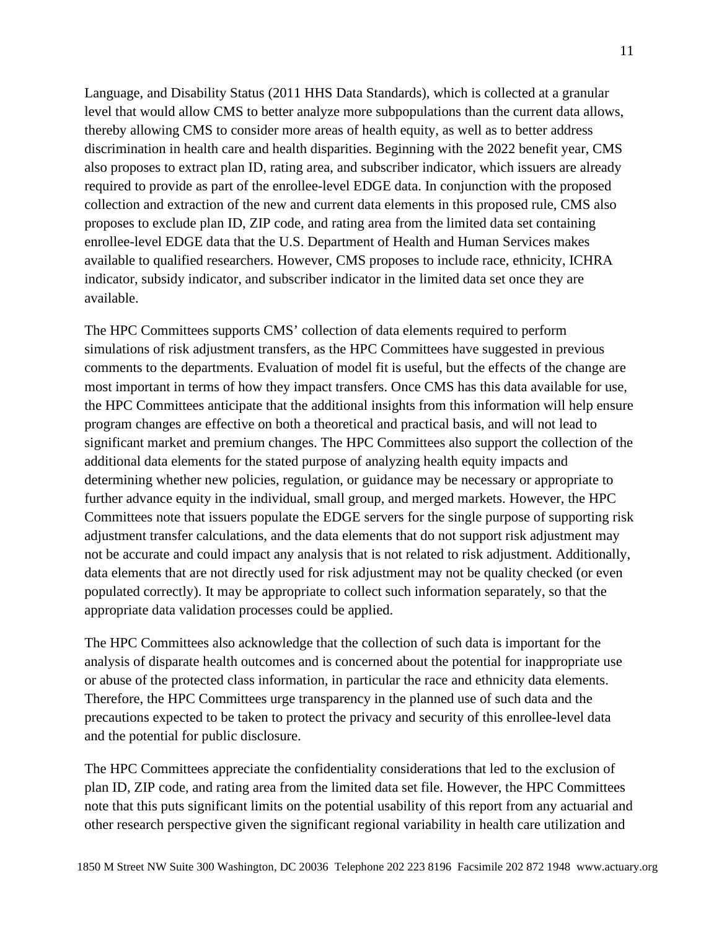Language, and Disability Status (2011 HHS Data Standards), which is collected at a granular level that would allow CMS to better analyze more subpopulations than the current data allows, thereby allowing CMS to consider more areas of health equity, as well as to better address discrimination in health care and health disparities. Beginning with the 2022 benefit year, CMS also proposes to extract plan ID, rating area, and subscriber indicator, which issuers are already required to provide as part of the enrollee-level EDGE data. In conjunction with the proposed collection and extraction of the new and current data elements in this proposed rule, CMS also proposes to exclude plan ID, ZIP code, and rating area from the limited data set containing enrollee-level EDGE data that the U.S. Department of Health and Human Services makes available to qualified researchers. However, CMS proposes to include race, ethnicity, ICHRA indicator, subsidy indicator, and subscriber indicator in the limited data set once they are available.

The HPC Committees supports CMS' collection of data elements required to perform simulations of risk adjustment transfers, as the HPC Committees have suggested in previous comments to the departments. Evaluation of model fit is useful, but the effects of the change are most important in terms of how they impact transfers. Once CMS has this data available for use, the HPC Committees anticipate that the additional insights from this information will help ensure program changes are effective on both a theoretical and practical basis, and will not lead to significant market and premium changes. The HPC Committees also support the collection of the additional data elements for the stated purpose of analyzing health equity impacts and determining whether new policies, regulation, or guidance may be necessary or appropriate to further advance equity in the individual, small group, and merged markets. However, the HPC Committees note that issuers populate the EDGE servers for the single purpose of supporting risk adjustment transfer calculations, and the data elements that do not support risk adjustment may not be accurate and could impact any analysis that is not related to risk adjustment. Additionally, data elements that are not directly used for risk adjustment may not be quality checked (or even populated correctly). It may be appropriate to collect such information separately, so that the appropriate data validation processes could be applied.

The HPC Committees also acknowledge that the collection of such data is important for the analysis of disparate health outcomes and is concerned about the potential for inappropriate use or abuse of the protected class information, in particular the race and ethnicity data elements. Therefore, the HPC Committees urge transparency in the planned use of such data and the precautions expected to be taken to protect the privacy and security of this enrollee-level data and the potential for public disclosure.

The HPC Committees appreciate the confidentiality considerations that led to the exclusion of plan ID, ZIP code, and rating area from the limited data set file. However, the HPC Committees note that this puts significant limits on the potential usability of this report from any actuarial and other research perspective given the significant regional variability in health care utilization and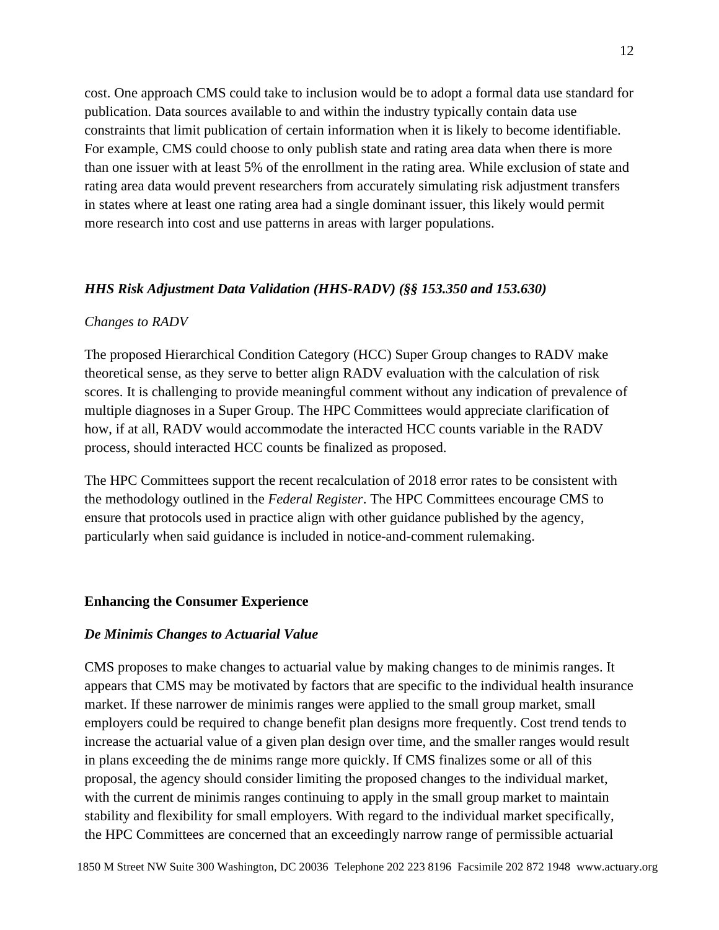cost. One approach CMS could take to inclusion would be to adopt a formal data use standard for publication. Data sources available to and within the industry typically contain data use constraints that limit publication of certain information when it is likely to become identifiable. For example, CMS could choose to only publish state and rating area data when there is more than one issuer with at least 5% of the enrollment in the rating area. While exclusion of state and rating area data would prevent researchers from accurately simulating risk adjustment transfers in states where at least one rating area had a single dominant issuer, this likely would permit more research into cost and use patterns in areas with larger populations.

### *HHS Risk Adjustment Data Validation (HHS-RADV) (§§ 153.350 and 153.630)*

#### *Changes to RADV*

The proposed Hierarchical Condition Category (HCC) Super Group changes to RADV make theoretical sense, as they serve to better align RADV evaluation with the calculation of risk scores. It is challenging to provide meaningful comment without any indication of prevalence of multiple diagnoses in a Super Group. The HPC Committees would appreciate clarification of how, if at all, RADV would accommodate the interacted HCC counts variable in the RADV process, should interacted HCC counts be finalized as proposed.

The HPC Committees support the recent recalculation of 2018 error rates to be consistent with the methodology outlined in the *Federal Register*. The HPC Committees encourage CMS to ensure that protocols used in practice align with other guidance published by the agency, particularly when said guidance is included in notice-and-comment rulemaking.

#### **Enhancing the Consumer Experience**

#### *De Minimis Changes to Actuarial Value*

CMS proposes to make changes to actuarial value by making changes to de minimis ranges. It appears that CMS may be motivated by factors that are specific to the individual health insurance market. If these narrower de minimis ranges were applied to the small group market, small employers could be required to change benefit plan designs more frequently. Cost trend tends to increase the actuarial value of a given plan design over time, and the smaller ranges would result in plans exceeding the de minims range more quickly. If CMS finalizes some or all of this proposal, the agency should consider limiting the proposed changes to the individual market, with the current de minimis ranges continuing to apply in the small group market to maintain stability and flexibility for small employers. With regard to the individual market specifically, the HPC Committees are concerned that an exceedingly narrow range of permissible actuarial